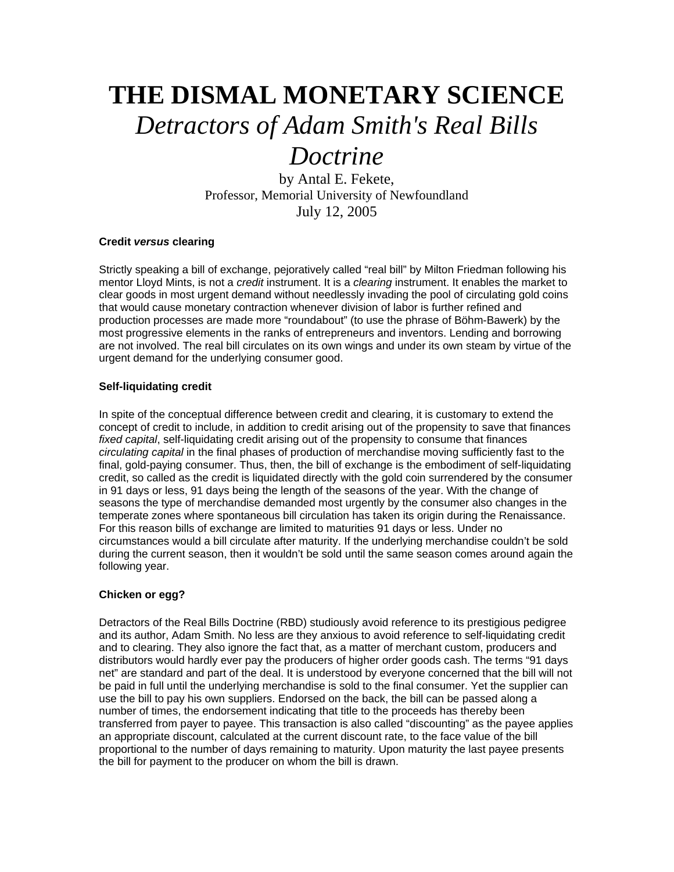# **THE DISMAL MONETARY SCIENCE**  *Detractors of Adam Smith's Real Bills Doctrine*

by Antal E. Fekete, Professor, Memorial University of Newfoundland July 12, 2005

## **Credit** *versus* **clearing**

Strictly speaking a bill of exchange, pejoratively called "real bill" by Milton Friedman following his mentor Lloyd Mints, is not a *credit* instrument. It is a *clearing* instrument. It enables the market to clear goods in most urgent demand without needlessly invading the pool of circulating gold coins that would cause monetary contraction whenever division of labor is further refined and production processes are made more "roundabout" (to use the phrase of Böhm-Bawerk) by the most progressive elements in the ranks of entrepreneurs and inventors. Lending and borrowing are not involved. The real bill circulates on its own wings and under its own steam by virtue of the urgent demand for the underlying consumer good.

## **Self-liquidating credit**

In spite of the conceptual difference between credit and clearing, it is customary to extend the concept of credit to include, in addition to credit arising out of the propensity to save that finances *fixed capital*, self-liquidating credit arising out of the propensity to consume that finances *circulating capital* in the final phases of production of merchandise moving sufficiently fast to the final, gold-paying consumer. Thus, then, the bill of exchange is the embodiment of self-liquidating credit, so called as the credit is liquidated directly with the gold coin surrendered by the consumer in 91 days or less, 91 days being the length of the seasons of the year. With the change of seasons the type of merchandise demanded most urgently by the consumer also changes in the temperate zones where spontaneous bill circulation has taken its origin during the Renaissance. For this reason bills of exchange are limited to maturities 91 days or less. Under no circumstances would a bill circulate after maturity. If the underlying merchandise couldn't be sold during the current season, then it wouldn't be sold until the same season comes around again the following year.

# **Chicken or egg?**

Detractors of the Real Bills Doctrine (RBD) studiously avoid reference to its prestigious pedigree and its author, Adam Smith. No less are they anxious to avoid reference to self-liquidating credit and to clearing. They also ignore the fact that, as a matter of merchant custom, producers and distributors would hardly ever pay the producers of higher order goods cash. The terms "91 days net" are standard and part of the deal. It is understood by everyone concerned that the bill will not be paid in full until the underlying merchandise is sold to the final consumer. Yet the supplier can use the bill to pay his own suppliers. Endorsed on the back, the bill can be passed along a number of times, the endorsement indicating that title to the proceeds has thereby been transferred from payer to payee. This transaction is also called "discounting" as the payee applies an appropriate discount, calculated at the current discount rate, to the face value of the bill proportional to the number of days remaining to maturity. Upon maturity the last payee presents the bill for payment to the producer on whom the bill is drawn.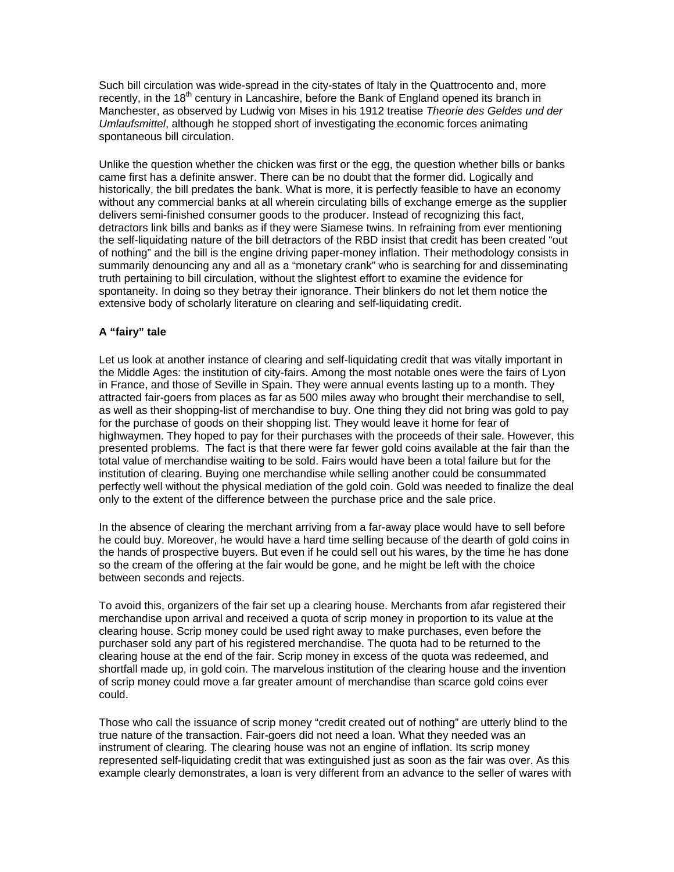Such bill circulation was wide-spread in the city-states of Italy in the Quattrocento and, more recently, in the  $18<sup>th</sup>$  century in Lancashire, before the Bank of England opened its branch in Manchester, as observed by Ludwig von Mises in his 1912 treatise *Theorie des Geldes und der Umlaufsmittel*, although he stopped short of investigating the economic forces animating spontaneous bill circulation.

Unlike the question whether the chicken was first or the egg, the question whether bills or banks came first has a definite answer. There can be no doubt that the former did. Logically and historically, the bill predates the bank. What is more, it is perfectly feasible to have an economy without any commercial banks at all wherein circulating bills of exchange emerge as the supplier delivers semi-finished consumer goods to the producer. Instead of recognizing this fact, detractors link bills and banks as if they were Siamese twins. In refraining from ever mentioning the self-liquidating nature of the bill detractors of the RBD insist that credit has been created "out of nothing" and the bill is the engine driving paper-money inflation. Their methodology consists in summarily denouncing any and all as a "monetary crank" who is searching for and disseminating truth pertaining to bill circulation, without the slightest effort to examine the evidence for spontaneity. In doing so they betray their ignorance. Their blinkers do not let them notice the extensive body of scholarly literature on clearing and self-liquidating credit.

## **A "fairy" tale**

Let us look at another instance of clearing and self-liquidating credit that was vitally important in the Middle Ages: the institution of city-fairs. Among the most notable ones were the fairs of Lyon in France, and those of Seville in Spain. They were annual events lasting up to a month. They attracted fair-goers from places as far as 500 miles away who brought their merchandise to sell, as well as their shopping-list of merchandise to buy. One thing they did not bring was gold to pay for the purchase of goods on their shopping list. They would leave it home for fear of highwaymen. They hoped to pay for their purchases with the proceeds of their sale. However, this presented problems. The fact is that there were far fewer gold coins available at the fair than the total value of merchandise waiting to be sold. Fairs would have been a total failure but for the institution of clearing. Buying one merchandise while selling another could be consummated perfectly well without the physical mediation of the gold coin. Gold was needed to finalize the deal only to the extent of the difference between the purchase price and the sale price.

In the absence of clearing the merchant arriving from a far-away place would have to sell before he could buy. Moreover, he would have a hard time selling because of the dearth of gold coins in the hands of prospective buyers. But even if he could sell out his wares, by the time he has done so the cream of the offering at the fair would be gone, and he might be left with the choice between seconds and rejects.

To avoid this, organizers of the fair set up a clearing house. Merchants from afar registered their merchandise upon arrival and received a quota of scrip money in proportion to its value at the clearing house. Scrip money could be used right away to make purchases, even before the purchaser sold any part of his registered merchandise. The quota had to be returned to the clearing house at the end of the fair. Scrip money in excess of the quota was redeemed, and shortfall made up, in gold coin. The marvelous institution of the clearing house and the invention of scrip money could move a far greater amount of merchandise than scarce gold coins ever could.

Those who call the issuance of scrip money "credit created out of nothing" are utterly blind to the true nature of the transaction. Fair-goers did not need a loan. What they needed was an instrument of clearing. The clearing house was not an engine of inflation. Its scrip money represented self-liquidating credit that was extinguished just as soon as the fair was over. As this example clearly demonstrates, a loan is very different from an advance to the seller of wares with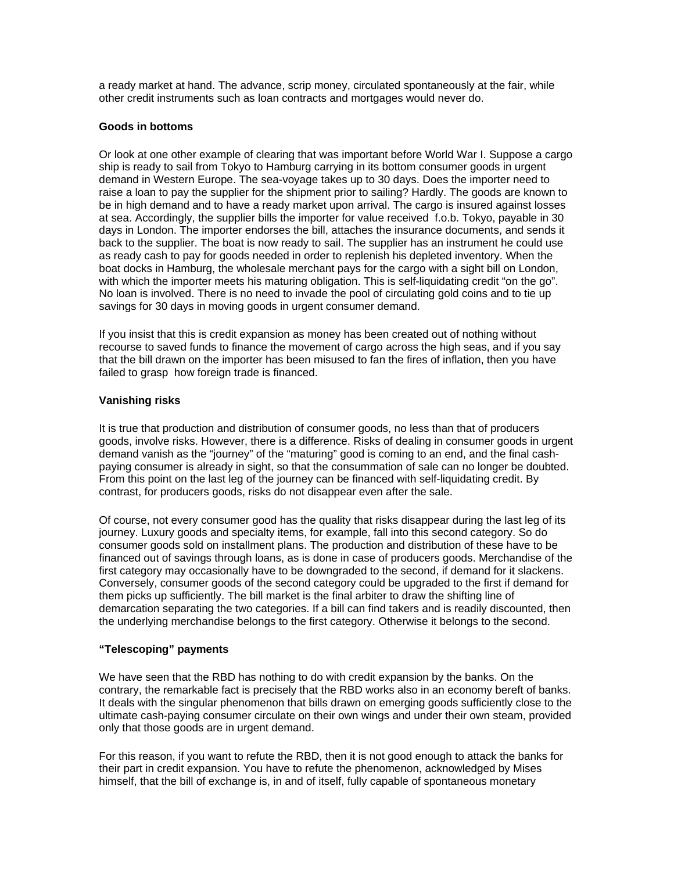a ready market at hand. The advance, scrip money, circulated spontaneously at the fair, while other credit instruments such as loan contracts and mortgages would never do.

#### **Goods in bottoms**

Or look at one other example of clearing that was important before World War I. Suppose a cargo ship is ready to sail from Tokyo to Hamburg carrying in its bottom consumer goods in urgent demand in Western Europe. The sea-voyage takes up to 30 days. Does the importer need to raise a loan to pay the supplier for the shipment prior to sailing? Hardly. The goods are known to be in high demand and to have a ready market upon arrival. The cargo is insured against losses at sea. Accordingly, the supplier bills the importer for value received f.o.b. Tokyo, payable in 30 days in London. The importer endorses the bill, attaches the insurance documents, and sends it back to the supplier. The boat is now ready to sail. The supplier has an instrument he could use as ready cash to pay for goods needed in order to replenish his depleted inventory. When the boat docks in Hamburg, the wholesale merchant pays for the cargo with a sight bill on London, with which the importer meets his maturing obligation. This is self-liquidating credit "on the go". No loan is involved. There is no need to invade the pool of circulating gold coins and to tie up savings for 30 days in moving goods in urgent consumer demand.

If you insist that this is credit expansion as money has been created out of nothing without recourse to saved funds to finance the movement of cargo across the high seas, and if you say that the bill drawn on the importer has been misused to fan the fires of inflation, then you have failed to grasp how foreign trade is financed.

#### **Vanishing risks**

It is true that production and distribution of consumer goods, no less than that of producers goods, involve risks. However, there is a difference. Risks of dealing in consumer goods in urgent demand vanish as the "journey" of the "maturing" good is coming to an end, and the final cashpaying consumer is already in sight, so that the consummation of sale can no longer be doubted. From this point on the last leg of the journey can be financed with self-liquidating credit. By contrast, for producers goods, risks do not disappear even after the sale.

Of course, not every consumer good has the quality that risks disappear during the last leg of its journey. Luxury goods and specialty items, for example, fall into this second category. So do consumer goods sold on installment plans. The production and distribution of these have to be financed out of savings through loans, as is done in case of producers goods. Merchandise of the first category may occasionally have to be downgraded to the second, if demand for it slackens. Conversely, consumer goods of the second category could be upgraded to the first if demand for them picks up sufficiently. The bill market is the final arbiter to draw the shifting line of demarcation separating the two categories. If a bill can find takers and is readily discounted, then the underlying merchandise belongs to the first category. Otherwise it belongs to the second.

## **"Telescoping" payments**

We have seen that the RBD has nothing to do with credit expansion by the banks. On the contrary, the remarkable fact is precisely that the RBD works also in an economy bereft of banks. It deals with the singular phenomenon that bills drawn on emerging goods sufficiently close to the ultimate cash-paying consumer circulate on their own wings and under their own steam, provided only that those goods are in urgent demand.

For this reason, if you want to refute the RBD, then it is not good enough to attack the banks for their part in credit expansion. You have to refute the phenomenon, acknowledged by Mises himself, that the bill of exchange is, in and of itself, fully capable of spontaneous monetary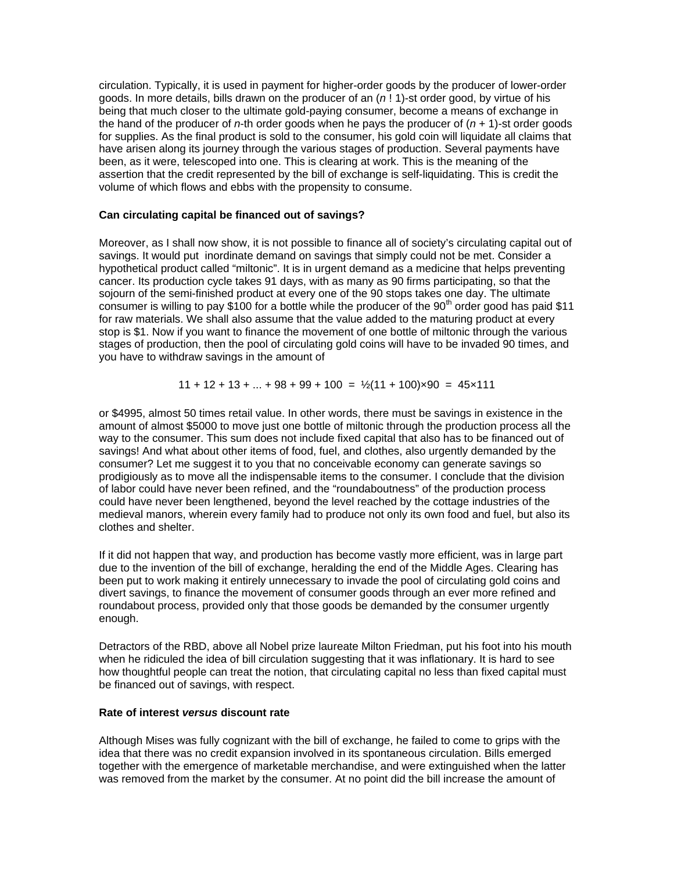circulation. Typically, it is used in payment for higher-order goods by the producer of lower-order goods. In more details, bills drawn on the producer of an (*n* ! 1)-st order good, by virtue of his being that much closer to the ultimate gold-paying consumer, become a means of exchange in the hand of the producer of *n*-th order goods when he pays the producer of (*n* + 1)-st order goods for supplies. As the final product is sold to the consumer, his gold coin will liquidate all claims that have arisen along its journey through the various stages of production. Several payments have been, as it were, telescoped into one. This is clearing at work. This is the meaning of the assertion that the credit represented by the bill of exchange is self-liquidating. This is credit the volume of which flows and ebbs with the propensity to consume.

#### **Can circulating capital be financed out of savings?**

Moreover, as I shall now show, it is not possible to finance all of society's circulating capital out of savings. It would put inordinate demand on savings that simply could not be met. Consider a hypothetical product called "miltonic". It is in urgent demand as a medicine that helps preventing cancer. Its production cycle takes 91 days, with as many as 90 firms participating, so that the sojourn of the semi-finished product at every one of the 90 stops takes one day. The ultimate consumer is willing to pay \$100 for a bottle while the producer of the  $90<sup>th</sup>$  order good has paid \$11 for raw materials. We shall also assume that the value added to the maturing product at every stop is \$1. Now if you want to finance the movement of one bottle of miltonic through the various stages of production, then the pool of circulating gold coins will have to be invaded 90 times, and you have to withdraw savings in the amount of

$$
11 + 12 + 13 + ... + 98 + 99 + 100 = \frac{1}{2}(11 + 100) \times 90 = 45 \times 111
$$

or \$4995, almost 50 times retail value. In other words, there must be savings in existence in the amount of almost \$5000 to move just one bottle of miltonic through the production process all the way to the consumer. This sum does not include fixed capital that also has to be financed out of savings! And what about other items of food, fuel, and clothes, also urgently demanded by the consumer? Let me suggest it to you that no conceivable economy can generate savings so prodigiously as to move all the indispensable items to the consumer. I conclude that the division of labor could have never been refined, and the "roundaboutness" of the production process could have never been lengthened, beyond the level reached by the cottage industries of the medieval manors, wherein every family had to produce not only its own food and fuel, but also its clothes and shelter.

If it did not happen that way, and production has become vastly more efficient, was in large part due to the invention of the bill of exchange, heralding the end of the Middle Ages. Clearing has been put to work making it entirely unnecessary to invade the pool of circulating gold coins and divert savings, to finance the movement of consumer goods through an ever more refined and roundabout process, provided only that those goods be demanded by the consumer urgently enough.

Detractors of the RBD, above all Nobel prize laureate Milton Friedman, put his foot into his mouth when he ridiculed the idea of bill circulation suggesting that it was inflationary. It is hard to see how thoughtful people can treat the notion, that circulating capital no less than fixed capital must be financed out of savings, with respect.

#### **Rate of interest** *versus* **discount rate**

Although Mises was fully cognizant with the bill of exchange, he failed to come to grips with the idea that there was no credit expansion involved in its spontaneous circulation. Bills emerged together with the emergence of marketable merchandise, and were extinguished when the latter was removed from the market by the consumer. At no point did the bill increase the amount of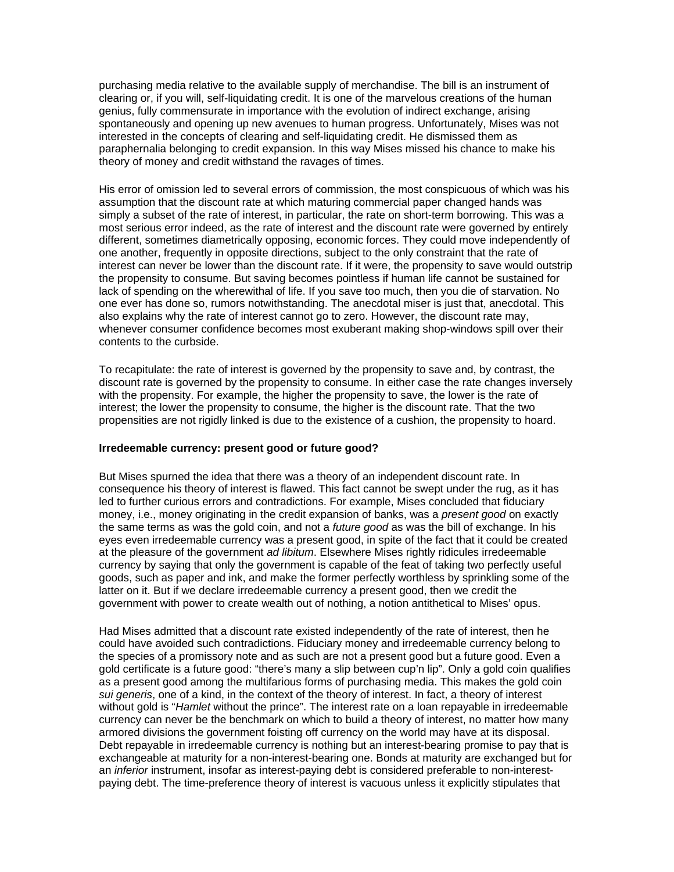purchasing media relative to the available supply of merchandise. The bill is an instrument of clearing or, if you will, self-liquidating credit. It is one of the marvelous creations of the human genius, fully commensurate in importance with the evolution of indirect exchange, arising spontaneously and opening up new avenues to human progress. Unfortunately, Mises was not interested in the concepts of clearing and self-liquidating credit. He dismissed them as paraphernalia belonging to credit expansion. In this way Mises missed his chance to make his theory of money and credit withstand the ravages of times.

His error of omission led to several errors of commission, the most conspicuous of which was his assumption that the discount rate at which maturing commercial paper changed hands was simply a subset of the rate of interest, in particular, the rate on short-term borrowing. This was a most serious error indeed, as the rate of interest and the discount rate were governed by entirely different, sometimes diametrically opposing, economic forces. They could move independently of one another, frequently in opposite directions, subject to the only constraint that the rate of interest can never be lower than the discount rate. If it were, the propensity to save would outstrip the propensity to consume. But saving becomes pointless if human life cannot be sustained for lack of spending on the wherewithal of life. If you save too much, then you die of starvation. No one ever has done so, rumors notwithstanding. The anecdotal miser is just that, anecdotal. This also explains why the rate of interest cannot go to zero. However, the discount rate may, whenever consumer confidence becomes most exuberant making shop-windows spill over their contents to the curbside.

To recapitulate: the rate of interest is governed by the propensity to save and, by contrast, the discount rate is governed by the propensity to consume. In either case the rate changes inversely with the propensity. For example, the higher the propensity to save, the lower is the rate of interest; the lower the propensity to consume, the higher is the discount rate. That the two propensities are not rigidly linked is due to the existence of a cushion, the propensity to hoard.

## **Irredeemable currency: present good or future good?**

But Mises spurned the idea that there was a theory of an independent discount rate. In consequence his theory of interest is flawed. This fact cannot be swept under the rug, as it has led to further curious errors and contradictions. For example, Mises concluded that fiduciary money, i.e., money originating in the credit expansion of banks, was a *present good* on exactly the same terms as was the gold coin, and not a *future good* as was the bill of exchange. In his eyes even irredeemable currency was a present good, in spite of the fact that it could be created at the pleasure of the government *ad libitum*. Elsewhere Mises rightly ridicules irredeemable currency by saying that only the government is capable of the feat of taking two perfectly useful goods, such as paper and ink, and make the former perfectly worthless by sprinkling some of the latter on it. But if we declare irredeemable currency a present good, then we credit the government with power to create wealth out of nothing, a notion antithetical to Mises' opus.

Had Mises admitted that a discount rate existed independently of the rate of interest, then he could have avoided such contradictions. Fiduciary money and irredeemable currency belong to the species of a promissory note and as such are not a present good but a future good. Even a gold certificate is a future good: "there's many a slip between cup'n lip". Only a gold coin qualifies as a present good among the multifarious forms of purchasing media. This makes the gold coin *sui generis*, one of a kind, in the context of the theory of interest. In fact, a theory of interest without gold is "*Hamlet* without the prince". The interest rate on a loan repayable in irredeemable currency can never be the benchmark on which to build a theory of interest, no matter how many armored divisions the government foisting off currency on the world may have at its disposal. Debt repayable in irredeemable currency is nothing but an interest-bearing promise to pay that is exchangeable at maturity for a non-interest-bearing one. Bonds at maturity are exchanged but for an *inferior* instrument, insofar as interest-paying debt is considered preferable to non-interestpaying debt. The time-preference theory of interest is vacuous unless it explicitly stipulates that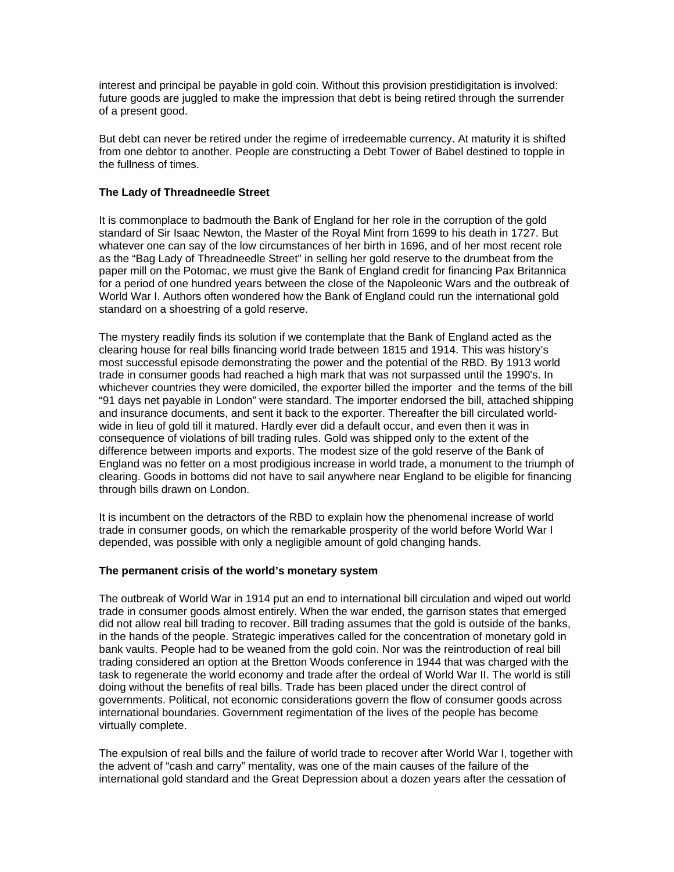interest and principal be payable in gold coin. Without this provision prestidigitation is involved: future goods are juggled to make the impression that debt is being retired through the surrender of a present good.

But debt can never be retired under the regime of irredeemable currency. At maturity it is shifted from one debtor to another. People are constructing a Debt Tower of Babel destined to topple in the fullness of times.

## **The Lady of Threadneedle Street**

It is commonplace to badmouth the Bank of England for her role in the corruption of the gold standard of Sir Isaac Newton, the Master of the Royal Mint from 1699 to his death in 1727. But whatever one can say of the low circumstances of her birth in 1696, and of her most recent role as the "Bag Lady of Threadneedle Street" in selling her gold reserve to the drumbeat from the paper mill on the Potomac, we must give the Bank of England credit for financing Pax Britannica for a period of one hundred years between the close of the Napoleonic Wars and the outbreak of World War I. Authors often wondered how the Bank of England could run the international gold standard on a shoestring of a gold reserve.

The mystery readily finds its solution if we contemplate that the Bank of England acted as the clearing house for real bills financing world trade between 1815 and 1914. This was history's most successful episode demonstrating the power and the potential of the RBD. By 1913 world trade in consumer goods had reached a high mark that was not surpassed until the 1990's. In whichever countries they were domiciled, the exporter billed the importer and the terms of the bill "91 days net payable in London" were standard. The importer endorsed the bill, attached shipping and insurance documents, and sent it back to the exporter. Thereafter the bill circulated worldwide in lieu of gold till it matured. Hardly ever did a default occur, and even then it was in consequence of violations of bill trading rules. Gold was shipped only to the extent of the difference between imports and exports. The modest size of the gold reserve of the Bank of England was no fetter on a most prodigious increase in world trade, a monument to the triumph of clearing. Goods in bottoms did not have to sail anywhere near England to be eligible for financing through bills drawn on London.

It is incumbent on the detractors of the RBD to explain how the phenomenal increase of world trade in consumer goods, on which the remarkable prosperity of the world before World War I depended, was possible with only a negligible amount of gold changing hands.

#### **The permanent crisis of the world's monetary system**

The outbreak of World War in 1914 put an end to international bill circulation and wiped out world trade in consumer goods almost entirely. When the war ended, the garrison states that emerged did not allow real bill trading to recover. Bill trading assumes that the gold is outside of the banks, in the hands of the people. Strategic imperatives called for the concentration of monetary gold in bank vaults. People had to be weaned from the gold coin. Nor was the reintroduction of real bill trading considered an option at the Bretton Woods conference in 1944 that was charged with the task to regenerate the world economy and trade after the ordeal of World War II. The world is still doing without the benefits of real bills. Trade has been placed under the direct control of governments. Political, not economic considerations govern the flow of consumer goods across international boundaries. Government regimentation of the lives of the people has become virtually complete.

The expulsion of real bills and the failure of world trade to recover after World War I, together with the advent of "cash and carry" mentality, was one of the main causes of the failure of the international gold standard and the Great Depression about a dozen years after the cessation of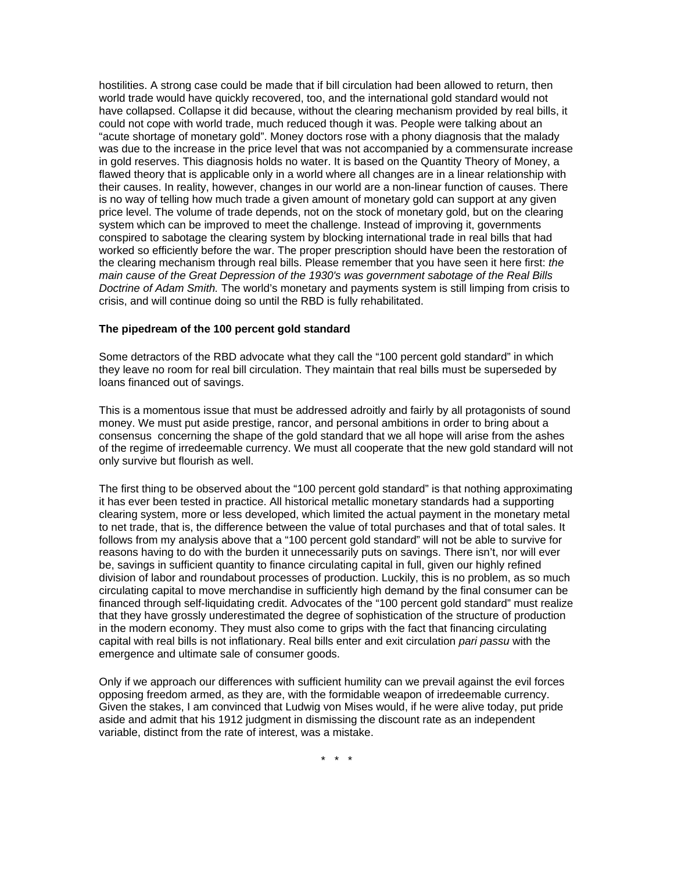hostilities. A strong case could be made that if bill circulation had been allowed to return, then world trade would have quickly recovered, too, and the international gold standard would not have collapsed. Collapse it did because, without the clearing mechanism provided by real bills, it could not cope with world trade, much reduced though it was. People were talking about an "acute shortage of monetary gold". Money doctors rose with a phony diagnosis that the malady was due to the increase in the price level that was not accompanied by a commensurate increase in gold reserves. This diagnosis holds no water. It is based on the Quantity Theory of Money, a flawed theory that is applicable only in a world where all changes are in a linear relationship with their causes. In reality, however, changes in our world are a non-linear function of causes. There is no way of telling how much trade a given amount of monetary gold can support at any given price level. The volume of trade depends, not on the stock of monetary gold, but on the clearing system which can be improved to meet the challenge. Instead of improving it, governments conspired to sabotage the clearing system by blocking international trade in real bills that had worked so efficiently before the war. The proper prescription should have been the restoration of the clearing mechanism through real bills. Please remember that you have seen it here first: *the main cause of the Great Depression of the 1930's was government sabotage of the Real Bills Doctrine of Adam Smith.* The world's monetary and payments system is still limping from crisis to crisis, and will continue doing so until the RBD is fully rehabilitated.

#### **The pipedream of the 100 percent gold standard**

Some detractors of the RBD advocate what they call the "100 percent gold standard" in which they leave no room for real bill circulation. They maintain that real bills must be superseded by loans financed out of savings.

This is a momentous issue that must be addressed adroitly and fairly by all protagonists of sound money. We must put aside prestige, rancor, and personal ambitions in order to bring about a consensus concerning the shape of the gold standard that we all hope will arise from the ashes of the regime of irredeemable currency. We must all cooperate that the new gold standard will not only survive but flourish as well.

The first thing to be observed about the "100 percent gold standard" is that nothing approximating it has ever been tested in practice. All historical metallic monetary standards had a supporting clearing system, more or less developed, which limited the actual payment in the monetary metal to net trade, that is, the difference between the value of total purchases and that of total sales. It follows from my analysis above that a "100 percent gold standard" will not be able to survive for reasons having to do with the burden it unnecessarily puts on savings. There isn't, nor will ever be, savings in sufficient quantity to finance circulating capital in full, given our highly refined division of labor and roundabout processes of production. Luckily, this is no problem, as so much circulating capital to move merchandise in sufficiently high demand by the final consumer can be financed through self-liquidating credit. Advocates of the "100 percent gold standard" must realize that they have grossly underestimated the degree of sophistication of the structure of production in the modern economy. They must also come to grips with the fact that financing circulating capital with real bills is not inflationary. Real bills enter and exit circulation *pari passu* with the emergence and ultimate sale of consumer goods.

Only if we approach our differences with sufficient humility can we prevail against the evil forces opposing freedom armed, as they are, with the formidable weapon of irredeemable currency. Given the stakes, I am convinced that Ludwig von Mises would, if he were alive today, put pride aside and admit that his 1912 judgment in dismissing the discount rate as an independent variable, distinct from the rate of interest, was a mistake.

\* \* \*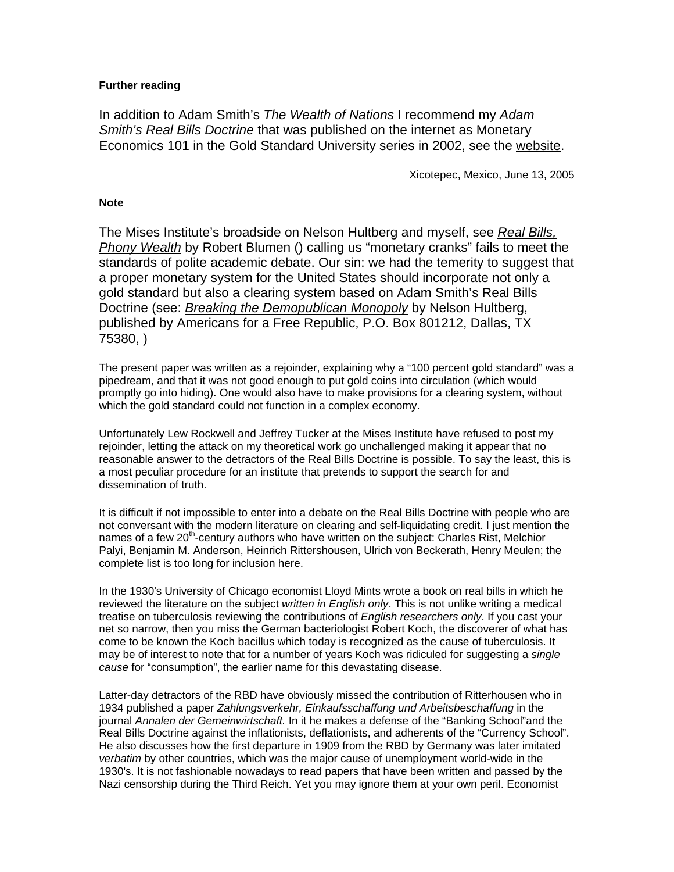# **Further reading**

In addition to Adam Smith's *The Wealth of Nations* I recommend my *Adam Smith's Real Bills Doctrine* that was published on the internet as Monetary Economics 101 in the Gold Standard University series in 2002, see the [website.](http://www.goldisfreedom.com/)

Xicotepec, Mexico, June 13, 2005

#### **Note**

The Mises Institute's broadside on Nelson Hultberg and myself, see *[Real Bills,](http://www.mises.org/story/1833)  [Phony Wealth](http://www.mises.org/story/1833)* by Robert Blumen () calling us "monetary cranks" fails to meet the standards of polite academic debate. Our sin: we had the temerity to suggest that a proper monetary system for the United States should incorporate not only a gold standard but also a clearing system based on Adam Smith's Real Bills Doctrine (see: *[Breaking the Demopublican Monopoly](http://www.afr.org/)* by Nelson Hultberg, published by Americans for a Free Republic, P.O. Box 801212, Dallas, TX 75380, )

The present paper was written as a rejoinder, explaining why a "100 percent gold standard" was a pipedream, and that it was not good enough to put gold coins into circulation (which would promptly go into hiding). One would also have to make provisions for a clearing system, without which the gold standard could not function in a complex economy.

Unfortunately Lew Rockwell and Jeffrey Tucker at the Mises Institute have refused to post my rejoinder, letting the attack on my theoretical work go unchallenged making it appear that no reasonable answer to the detractors of the Real Bills Doctrine is possible. To say the least, this is a most peculiar procedure for an institute that pretends to support the search for and dissemination of truth.

It is difficult if not impossible to enter into a debate on the Real Bills Doctrine with people who are not conversant with the modern literature on clearing and self-liquidating credit. I just mention the names of a few 20<sup>th</sup>-century authors who have written on the subject: Charles Rist, Melchior Palyi, Benjamin M. Anderson, Heinrich Rittershousen, Ulrich von Beckerath, Henry Meulen; the complete list is too long for inclusion here.

In the 1930's University of Chicago economist Lloyd Mints wrote a book on real bills in which he reviewed the literature on the subject *written in English only*. This is not unlike writing a medical treatise on tuberculosis reviewing the contributions of *English researchers only*. If you cast your net so narrow, then you miss the German bacteriologist Robert Koch, the discoverer of what has come to be known the Koch bacillus which today is recognized as the cause of tuberculosis. It may be of interest to note that for a number of years Koch was ridiculed for suggesting a *single cause* for "consumption", the earlier name for this devastating disease.

Latter-day detractors of the RBD have obviously missed the contribution of Ritterhousen who in 1934 published a paper *Zahlungsverkehr, Einkaufsschaffung und Arbeitsbeschaffung* in the journal *Annalen der Gemeinwirtschaft.* In it he makes a defense of the "Banking School"and the Real Bills Doctrine against the inflationists, deflationists, and adherents of the "Currency School". He also discusses how the first departure in 1909 from the RBD by Germany was later imitated *verbatim* by other countries, which was the major cause of unemployment world-wide in the 1930's. It is not fashionable nowadays to read papers that have been written and passed by the Nazi censorship during the Third Reich. Yet you may ignore them at your own peril. Economist